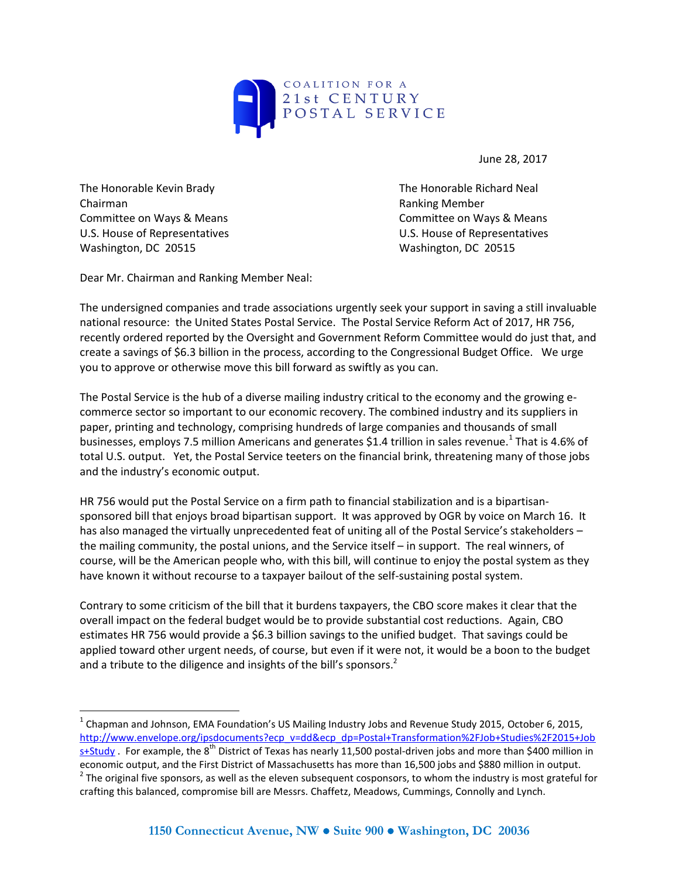

June 28, 2017

The Honorable Kevin Brady The Honorable Richard Neal Chairman **Chairman** Chairman Chairman Chairman Chairman Chairman Chairman Chairman Chairman Chairman Chairman Chairman Chairman Chairman Chairman Chairman Chairman Chairman Chairman Chairman Chairman Chairman Chairman Chai Committee on Ways & Means **Committee on Ways & Means** Committee on Ways & Means U.S. House of Representatives U.S. House of Representatives Washington, DC 20515 Washington, DC 20515

 $\overline{a}$ 

Dear Mr. Chairman and Ranking Member Neal:

The undersigned companies and trade associations urgently seek your support in saving a still invaluable national resource: the United States Postal Service. The Postal Service Reform Act of 2017, HR 756, recently ordered reported by the Oversight and Government Reform Committee would do just that, and create a savings of \$6.3 billion in the process, according to the Congressional Budget Office. We urge you to approve or otherwise move this bill forward as swiftly as you can.

The Postal Service is the hub of a diverse mailing industry critical to the economy and the growing ecommerce sector so important to our economic recovery. The combined industry and its suppliers in paper, printing and technology, comprising hundreds of large companies and thousands of small businesses, employs 7.5 million Americans and generates \$1.4 trillion in sales revenue.<sup>1</sup> That is 4.6% of total U.S. output. Yet, the Postal Service teeters on the financial brink, threatening many of those jobs and the industry's economic output.

HR 756 would put the Postal Service on a firm path to financial stabilization and is a bipartisansponsored bill that enjoys broad bipartisan support. It was approved by OGR by voice on March 16. It has also managed the virtually unprecedented feat of uniting all of the Postal Service's stakeholders the mailing community, the postal unions, and the Service itself – in support. The real winners, of course, will be the American people who, with this bill, will continue to enjoy the postal system as they have known it without recourse to a taxpayer bailout of the self-sustaining postal system.

Contrary to some criticism of the bill that it burdens taxpayers, the CBO score makes it clear that the overall impact on the federal budget would be to provide substantial cost reductions. Again, CBO estimates HR 756 would provide a \$6.3 billion savings to the unified budget. That savings could be applied toward other urgent needs, of course, but even if it were not, it would be a boon to the budget and a tribute to the diligence and insights of the bill's sponsors. $2^2$ 

 $^1$  Chapman and Johnson, EMA Foundation's US Mailing Industry Jobs and Revenue Study 2015, October 6, 2015, [http://www.envelope.org/ipsdocuments?ecp\\_v=dd&ecp\\_dp=Postal+Transformation%2FJob+Studies%2F2015+Job](http://www.envelope.org/ipsdocuments?ecp_v=dd&ecp_dp=Postal+Transformation%2FJob+Studies%2F2015+Jobs+Study)

[s+Study](http://www.envelope.org/ipsdocuments?ecp_v=dd&ecp_dp=Postal+Transformation%2FJob+Studies%2F2015+Jobs+Study) . For example, the  $8^{th}$  District of Texas has nearly 11,500 postal-driven jobs and more than \$400 million in economic output, and the First District of Massachusetts has more than 16,500 jobs and \$880 million in output.  $^2$  The original five sponsors, as well as the eleven subsequent cosponsors, to whom the industry is most grateful for crafting this balanced, compromise bill are Messrs. Chaffetz, Meadows, Cummings, Connolly and Lynch.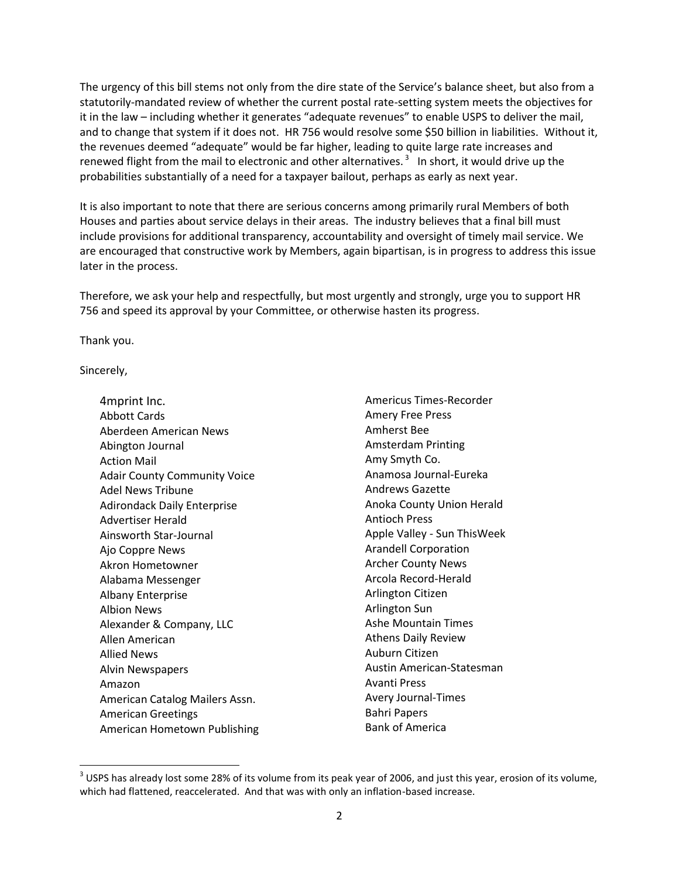The urgency of this bill stems not only from the dire state of the Service's balance sheet, but also from a statutorily-mandated review of whether the current postal rate-setting system meets the objectives for it in the law – including whether it generates "adequate revenues" to enable USPS to deliver the mail, and to change that system if it does not. HR 756 would resolve some \$50 billion in liabilities. Without it, the revenues deemed "adequate" would be far higher, leading to quite large rate increases and renewed flight from the mail to electronic and other alternatives.<sup>3</sup> In short, it would drive up the probabilities substantially of a need for a taxpayer bailout, perhaps as early as next year.

It is also important to note that there are serious concerns among primarily rural Members of both Houses and parties about service delays in their areas. The industry believes that a final bill must include provisions for additional transparency, accountability and oversight of timely mail service. We are encouraged that constructive work by Members, again bipartisan, is in progress to address this issue later in the process.

Therefore, we ask your help and respectfully, but most urgently and strongly, urge you to support HR 756 and speed its approval by your Committee, or otherwise hasten its progress.

Thank you.

Sincerely,

l

4mprint Inc. Abbott Cards Aberdeen American News Abington Journal Action Mail Adair County Community Voice Adel News Tribune Adirondack Daily Enterprise Advertiser Herald Ainsworth Star-Journal Ajo Coppre News Akron Hometowner Alabama Messenger Albany Enterprise Albion News Alexander & Company, LLC Allen American Allied News Alvin Newspapers Amazon American Catalog Mailers Assn. American Greetings American Hometown Publishing Americus Times-Recorder Amery Free Press Amherst Bee Amsterdam Printing Amy Smyth Co. Anamosa Journal-Eureka Andrews Gazette Anoka County Union Herald Antioch Press Apple Valley - Sun ThisWeek Arandell Corporation Archer County News Arcola Record-Herald Arlington Citizen Arlington Sun Ashe Mountain Times Athens Daily Review Auburn Citizen Austin American-Statesman Avanti Press Avery Journal-Times Bahri Papers Bank of America

 $^3$  USPS has already lost some 28% of its volume from its peak year of 2006, and just this year, erosion of its volume, which had flattened, reaccelerated. And that was with only an inflation-based increase.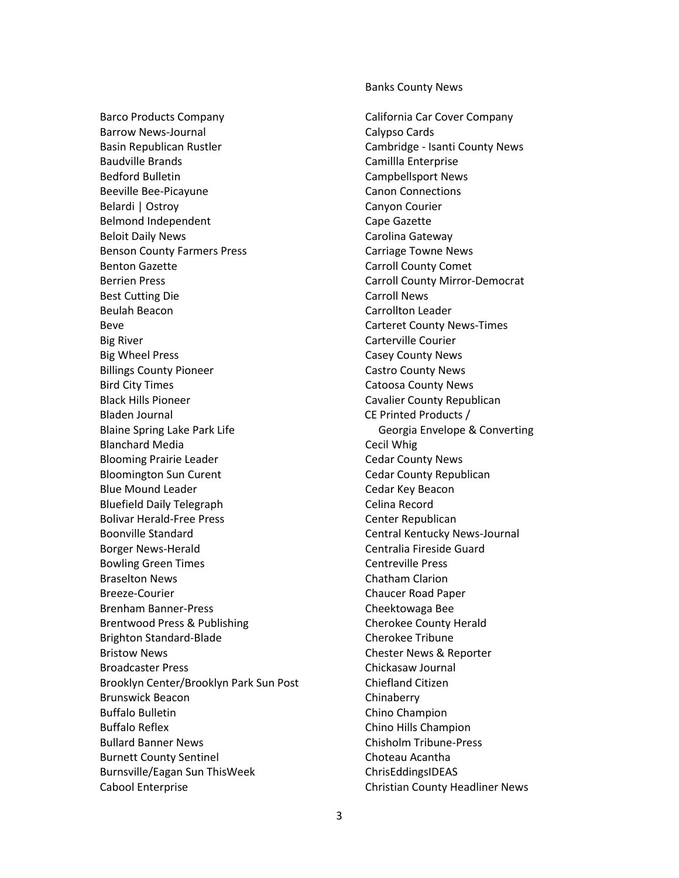Barco Products Company Barrow News-Journal Basin Republican Rustler Baudville Brands Bedford Bulletin Beeville Bee-Picayune Belardi | Ostroy Belmond Independent Beloit Daily News Benson County Farmers Press Benton Gazette Berrien Press Best Cutting Die Beulah Beacon Beve Big River Big Wheel Press Billings County Pioneer Bird City Times Black Hills Pioneer Bladen Journal Blaine Spring Lake Park Life Blanchard Media Blooming Prairie Leader Bloomington Sun Curent Blue Mound Leader Bluefield Daily Telegraph Bolivar Herald-Free Press Boonville Standard Borger News-Herald Bowling Green Times Braselton News Breeze-Courier Brenham Banner-Press Brentwood Press & Publishing Brighton Standard-Blade Bristow News Broadcaster Press Brooklyn Center/Brooklyn Park Sun Post Brunswick Beacon Buffalo Bulletin Buffalo Reflex Bullard Banner News Burnett County Sentinel Burnsville/Eagan Sun ThisWeek Cabool Enterprise

Banks County News

California Car Cover Company Calypso Cards Cambridge - Isanti County News Camillla Enterprise Campbellsport News Canon Connections Canyon Courier Cape Gazette Carolina Gateway Carriage Towne News Carroll County Comet Carroll County Mirror-Democrat Carroll News Carrollton Leader Carteret County News-Times Carterville Courier Casey County News Castro County News Catoosa County News Cavalier County Republican CE Printed Products / Georgia Envelope & Converting Cecil Whig Cedar County News Cedar County Republican Cedar Key Beacon Celina Record Center Republican Central Kentucky News-Journal Centralia Fireside Guard Centreville Press Chatham Clarion Chaucer Road Paper Cheektowaga Bee Cherokee County Herald Cherokee Tribune Chester News & Reporter Chickasaw Journal Chiefland Citizen Chinaberry Chino Champion Chino Hills Champion Chisholm Tribune-Press Choteau Acantha ChrisEddingsIDEAS Christian County Headliner News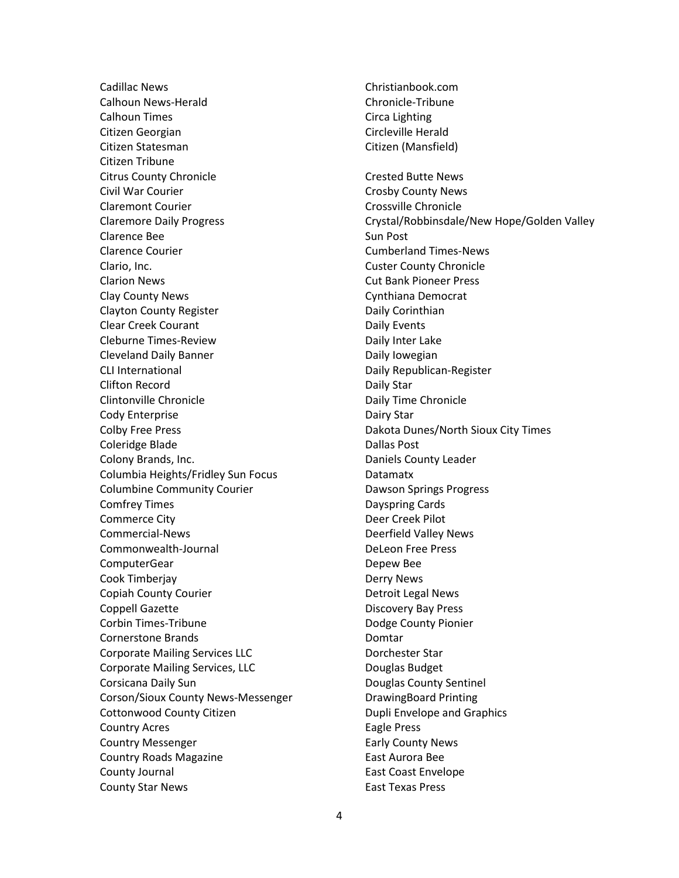Cadillac News Calhoun News-Herald Calhoun Times Citizen Georgian Citizen Statesman Citizen Tribune Citrus County Chronicle Civil War Courier Claremont Courier Claremore Daily Progress Clarence Bee Clarence Courier Clario, Inc. Clarion News Clay County News Clayton County Register Clear Creek Courant Cleburne Times-Review Cleveland Daily Banner CLI International Clifton Record Clintonville Chronicle Cody Enterprise Colby Free Press Coleridge Blade Colony Brands, Inc. Columbia Heights/Fridley Sun Focus Columbine Community Courier Comfrey Times Commerce City Commercial-News Commonwealth-Journal ComputerGear Cook Timberjay Copiah County Courier Coppell Gazette Corbin Times-Tribune Cornerstone Brands Corporate Mailing Services LLC Corporate Mailing Services, LLC Corsicana Daily Sun Corson/Sioux County News-Messenger Cottonwood County Citizen Country Acres Country Messenger Country Roads Magazine County Journal County Star News

Christianbook.com Chronicle-Tribune Circa Lighting Circleville Herald Citizen (Mansfield) Crested Butte News Crosby County News Crossville Chronicle Crystal/Robbinsdale/New Hope/Golden Valley Sun Post Cumberland Times-News Custer County Chronicle Cut Bank Pioneer Press Cynthiana Democrat Daily Corinthian Daily Events Daily Inter Lake Daily Iowegian Daily Republican-Register Daily Star Daily Time Chronicle Dairy Star Dakota Dunes/North Sioux City Times Dallas Post Daniels County Leader Datamatx Dawson Springs Progress Dayspring Cards Deer Creek Pilot Deerfield Valley News DeLeon Free Press Depew Bee Derry News Detroit Legal News Discovery Bay Press Dodge County Pionier Domtar Dorchester Star Douglas Budget Douglas County Sentinel DrawingBoard Printing Dupli Envelope and Graphics Eagle Press Early County News East Aurora Bee East Coast Envelope East Texas Press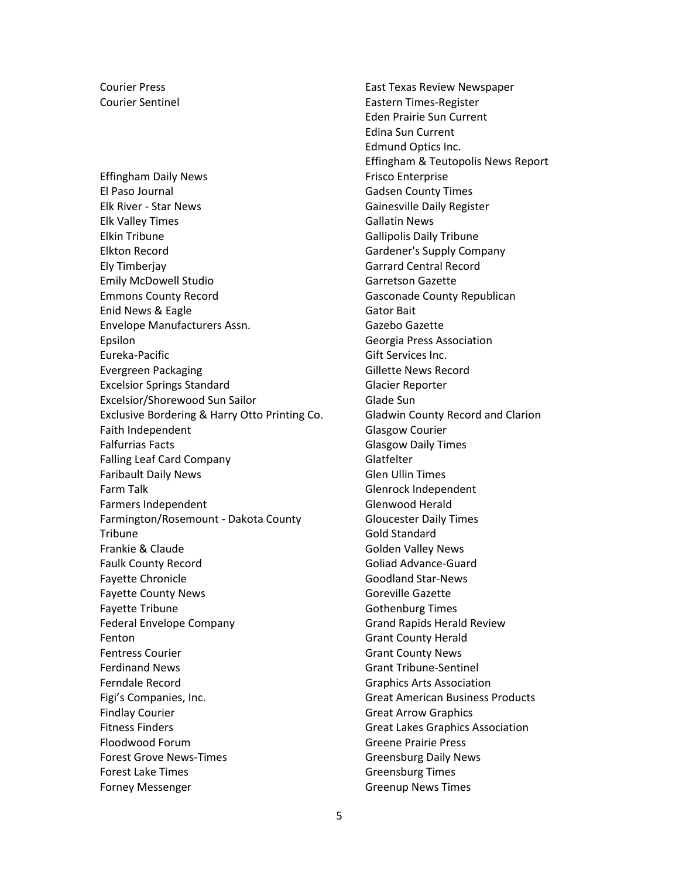Courier Press Courier Sentinel

Effingham Daily News El Paso Journal Elk River - Star News Elk Valley Times Elkin Tribune Elkton Record Ely Timberjay Emily McDowell Studio Emmons County Record Enid News & Eagle Envelope Manufacturers Assn. Epsilon Eureka-Pacific Evergreen Packaging Excelsior Springs Standard Excelsior/Shorewood Sun Sailor Exclusive Bordering & Harry Otto Printing Co. Faith Independent Falfurrias Facts Falling Leaf Card Company Faribault Daily News Farm Talk Farmers Independent Farmington/Rosemount - Dakota County **Tribune** Frankie & Claude Faulk County Record Fayette Chronicle Fayette County News Fayette Tribune Federal Envelope Company Fenton Fentress Courier Ferdinand News Ferndale Record Figi's Companies, Inc. Findlay Courier Fitness Finders Floodwood Forum Forest Grove News-Times Forest Lake Times Forney Messenger

East Texas Review Newspaper Eastern Times-Register Eden Prairie Sun Current Edina Sun Current Edmund Optics Inc. Effingham & Teutopolis News Report Frisco Enterprise Gadsen County Times Gainesville Daily Register Gallatin News Gallipolis Daily Tribune Gardener's Supply Company Garrard Central Record Garretson Gazette Gasconade County Republican Gator Bait Gazebo Gazette Georgia Press Association Gift Services Inc. Gillette News Record Glacier Reporter Glade Sun Gladwin County Record and Clarion Glasgow Courier Glasgow Daily Times Glatfelter Glen Ullin Times Glenrock Independent Glenwood Herald Gloucester Daily Times Gold Standard Golden Valley News Goliad Advance-Guard Goodland Star-News Goreville Gazette Gothenburg Times Grand Rapids Herald Review Grant County Herald Grant County News Grant Tribune-Sentinel Graphics Arts Association Great American Business Products Great Arrow Graphics Great Lakes Graphics Association Greene Prairie Press Greensburg Daily News Greensburg Times Greenup News Times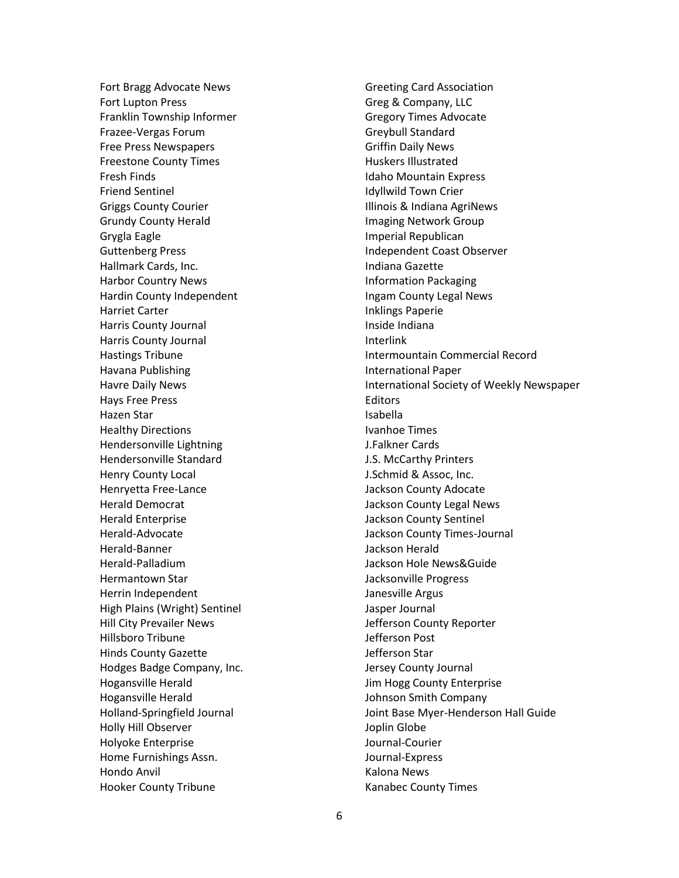Fort Bragg Advocate News Fort Lupton Press Franklin Township Informer Frazee-Vergas Forum Free Press Newspapers Freestone County Times Fresh Finds Friend Sentinel Griggs County Courier Grundy County Herald Grygla Eagle Guttenberg Press Hallmark Cards, Inc. Harbor Country News Hardin County Independent Harriet Carter Harris County Journal Harris County Journal Hastings Tribune Havana Publishing Havre Daily News Hays Free Press Hazen Star Healthy Directions Hendersonville Lightning Hendersonville Standard Henry County Local Henryetta Free-Lance Herald Democrat Herald Enterprise Herald-Advocate Herald-Banner Herald-Palladium Hermantown Star Herrin Independent High Plains (Wright) Sentinel Hill City Prevailer News Hillsboro Tribune Hinds County Gazette Hodges Badge Company, Inc. Hogansville Herald Hogansville Herald Holland-Springfield Journal Holly Hill Observer Holyoke Enterprise Home Furnishings Assn. Hondo Anvil Hooker County Tribune

Greeting Card Association Greg & Company, LLC Gregory Times Advocate Greybull Standard Griffin Daily News Huskers Illustrated Idaho Mountain Express Idyllwild Town Crier Illinois & Indiana AgriNews Imaging Network Group Imperial Republican Independent Coast Observer Indiana Gazette Information Packaging Ingam County Legal News Inklings Paperie Inside Indiana Interlink Intermountain Commercial Record International Paper International Society of Weekly Newspaper Editors Isabella Ivanhoe Times J.Falkner Cards J.S. McCarthy Printers J.Schmid & Assoc, Inc. Jackson County Adocate Jackson County Legal News Jackson County Sentinel Jackson County Times-Journal Jackson Herald Jackson Hole News&Guide Jacksonville Progress Janesville Argus Jasper Journal Jefferson County Reporter Jefferson Post Jefferson Star Jersey County Journal Jim Hogg County Enterprise Johnson Smith Company Joint Base Myer-Henderson Hall Guide Joplin Globe Journal-Courier Journal-Express Kalona News Kanabec County Times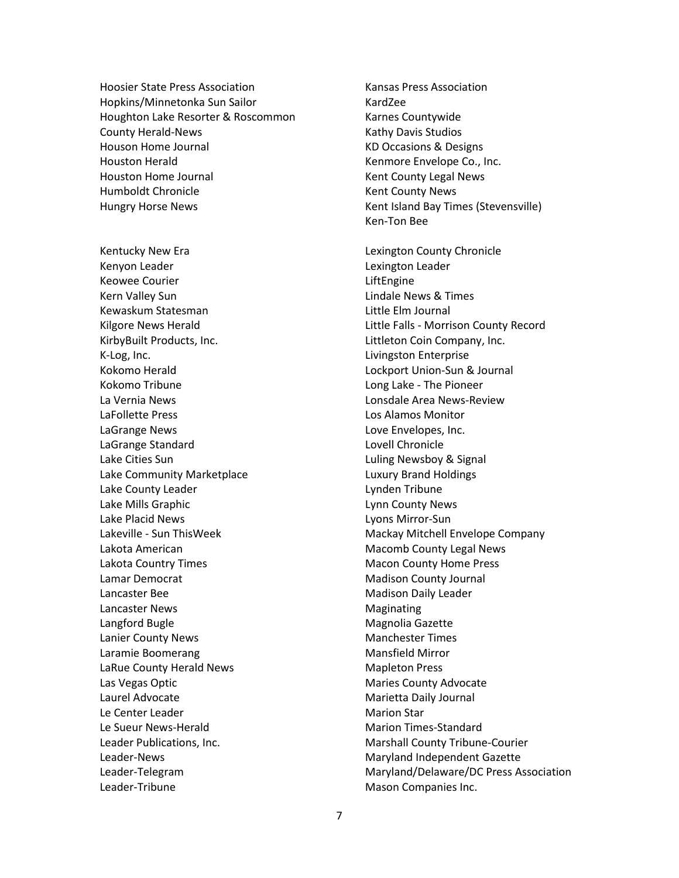Hoosier State Press Association Hopkins/Minnetonka Sun Sailor Houghton Lake Resorter & Roscommon County Herald-News Houson Home Journal Houston Herald Houston Home Journal Humboldt Chronicle Hungry Horse News

Kentucky New Era Kenyon Leader Keowee Courier Kern Valley Sun Kewaskum Statesman Kilgore News Herald KirbyBuilt Products, Inc. K-Log, Inc. Kokomo Herald Kokomo Tribune La Vernia News LaFollette Press LaGrange News LaGrange Standard Lake Cities Sun Lake Community Marketplace Lake County Leader Lake Mills Graphic Lake Placid News Lakeville - Sun ThisWeek Lakota American Lakota Country Times Lamar Democrat Lancaster Bee Lancaster News Langford Bugle Lanier County News Laramie Boomerang LaRue County Herald News Las Vegas Optic Laurel Advocate Le Center Leader Le Sueur News-Herald Leader Publications, Inc. Leader-News Leader-Telegram Leader-Tribune

Kansas Press Association KardZee Karnes Countywide Kathy Davis Studios KD Occasions & Designs Kenmore Envelope Co., Inc. Kent County Legal News Kent County News Kent Island Bay Times (Stevensville) Ken-Ton Bee Lexington County Chronicle Lexington Leader LiftEngine

Lindale News & Times Little Elm Journal Little Falls - Morrison County Record Littleton Coin Company, Inc. Livingston Enterprise Lockport Union-Sun & Journal Long Lake - The Pioneer Lonsdale Area News-Review Los Alamos Monitor Love Envelopes, Inc. Lovell Chronicle Luling Newsboy & Signal Luxury Brand Holdings Lynden Tribune Lynn County News Lyons Mirror-Sun Mackay Mitchell Envelope Company Macomb County Legal News Macon County Home Press Madison County Journal Madison Daily Leader Maginating Magnolia Gazette Manchester Times Mansfield Mirror Mapleton Press Maries County Advocate Marietta Daily Journal Marion Star Marion Times-Standard Marshall County Tribune-Courier Maryland Independent Gazette Maryland/Delaware/DC Press Association Mason Companies Inc.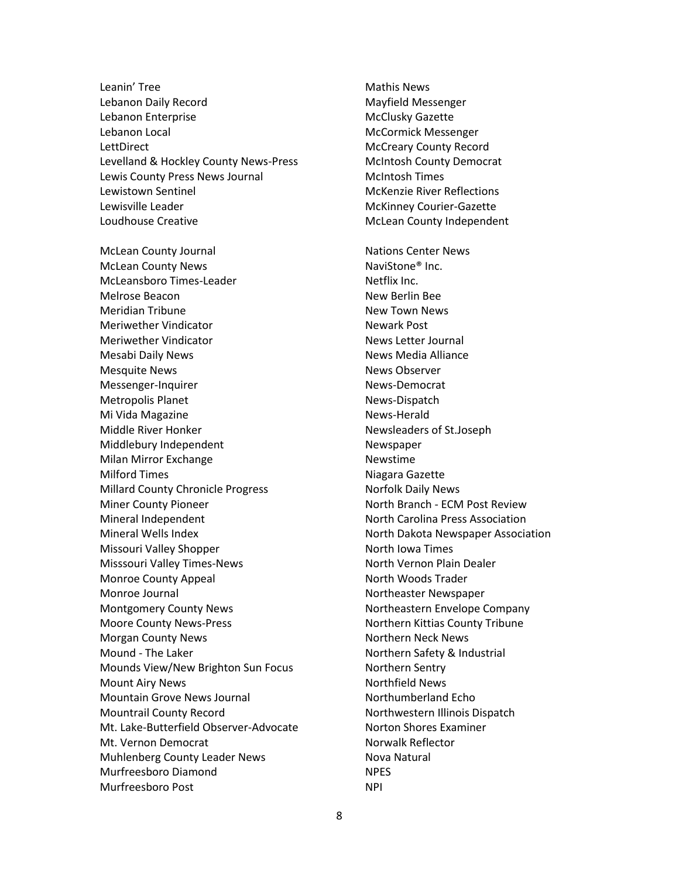Leanin' Tree Lebanon Daily Record Lebanon Enterprise Lebanon Local **LettDirect** Levelland & Hockley County News-Press Lewis County Press News Journal Lewistown Sentinel Lewisville Leader Loudhouse Creative

McLean County Journal McLean County News McLeansboro Times-Leader Melrose Beacon Meridian Tribune Meriwether Vindicator Meriwether Vindicator Mesabi Daily News Mesquite News Messenger-Inquirer Metropolis Planet Mi Vida Magazine Middle River Honker Middlebury Independent Milan Mirror Exchange Milford Times Millard County Chronicle Progress Miner County Pioneer Mineral Independent Mineral Wells Index Missouri Valley Shopper Misssouri Valley Times-News Monroe County Appeal Monroe Journal Montgomery County News Moore County News-Press Morgan County News Mound - The Laker Mounds View/New Brighton Sun Focus Mount Airy News Mountain Grove News Journal Mountrail County Record Mt. Lake-Butterfield Observer-Advocate Mt. Vernon Democrat Muhlenberg County Leader News Murfreesboro Diamond Murfreesboro Post

Mathis News Mayfield Messenger McClusky Gazette McCormick Messenger McCreary County Record McIntosh County Democrat McIntosh Times McKenzie River Reflections McKinney Courier-Gazette McLean County Independent Nations Center News NaviStone® Inc. Netflix Inc. New Berlin Bee New Town News Newark Post News Letter Journal News Media Alliance News Observer News-Democrat News-Dispatch News-Herald Newsleaders of St.Joseph Newspaper Newstime Niagara Gazette Norfolk Daily News North Branch - ECM Post Review North Carolina Press Association North Dakota Newspaper Association North Iowa Times North Vernon Plain Dealer North Woods Trader Northeaster Newspaper Northeastern Envelope Company Northern Kittias County Tribune Northern Neck News Northern Safety & Industrial Northern Sentry Northfield News Northumberland Echo Northwestern Illinois Dispatch Norton Shores Examiner Norwalk Reflector Nova Natural NPES NPI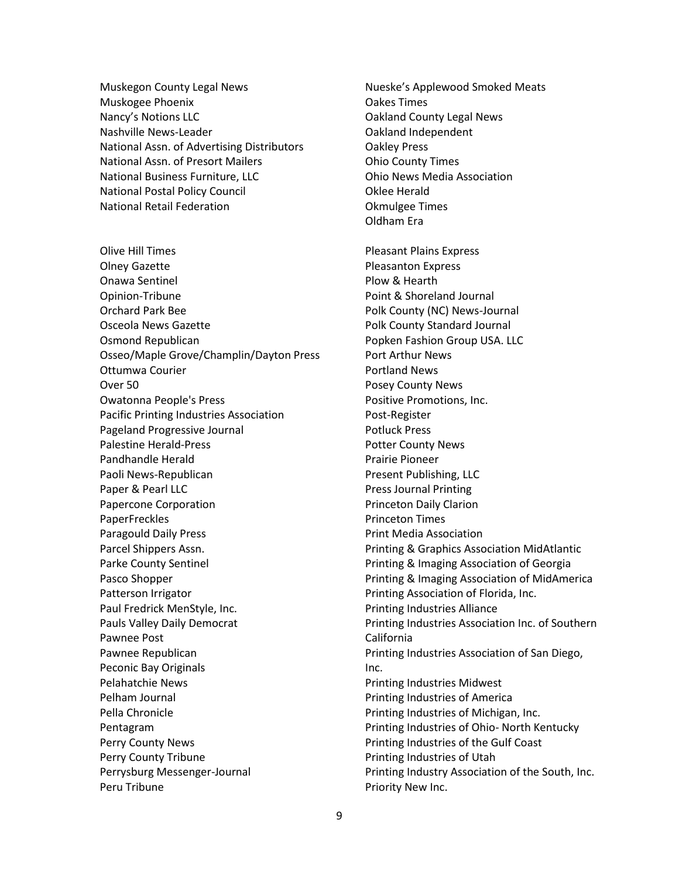Muskegon County Legal News Muskogee Phoenix Nancy's Notions LLC Nashville News-Leader National Assn. of Advertising Distributors National Assn. of Presort Mailers National Business Furniture, LLC National Postal Policy Council National Retail Federation

Olive Hill Times Olney Gazette Onawa Sentinel Opinion-Tribune Orchard Park Bee Osceola News Gazette Osmond Republican Osseo/Maple Grove/Champlin/Dayton Press Ottumwa Courier Over 50 Owatonna People's Press Pacific Printing Industries Association Pageland Progressive Journal Palestine Herald-Press Pandhandle Herald Paoli News-Republican Paper & Pearl LLC Papercone Corporation PaperFreckles Paragould Daily Press Parcel Shippers Assn. Parke County Sentinel Pasco Shopper Patterson Irrigator Paul Fredrick MenStyle, Inc. Pauls Valley Daily Democrat Pawnee Post Pawnee Republican Peconic Bay Originals Pelahatchie News Pelham Journal Pella Chronicle Pentagram Perry County News Perry County Tribune Perrysburg Messenger-Journal Peru Tribune

Nueske's Applewood Smoked Meats Oakes Times Oakland County Legal News Oakland Independent Oakley Press Ohio County Times Ohio News Media Association Oklee Herald Okmulgee Times Oldham Era Pleasant Plains Express Pleasanton Express Plow & Hearth Point & Shoreland Journal Polk County (NC) News-Journal Polk County Standard Journal Popken Fashion Group USA. LLC Port Arthur News Portland News Posey County News Positive Promotions, Inc. Post-Register Potluck Press Potter County News Prairie Pioneer Present Publishing, LLC Press Journal Printing Princeton Daily Clarion Princeton Times Print Media Association Printing & Graphics Association MidAtlantic Printing & Imaging Association of Georgia Printing & Imaging Association of MidAmerica Printing Association of Florida, Inc. Printing Industries Alliance Printing Industries Association Inc. of Southern California Printing Industries Association of San Diego, Inc. Printing Industries Midwest Printing Industries of America Printing Industries of Michigan, Inc. Printing Industries of Ohio- North Kentucky Printing Industries of the Gulf Coast Printing Industries of Utah Printing Industry Association of the South, Inc.

Priority New Inc.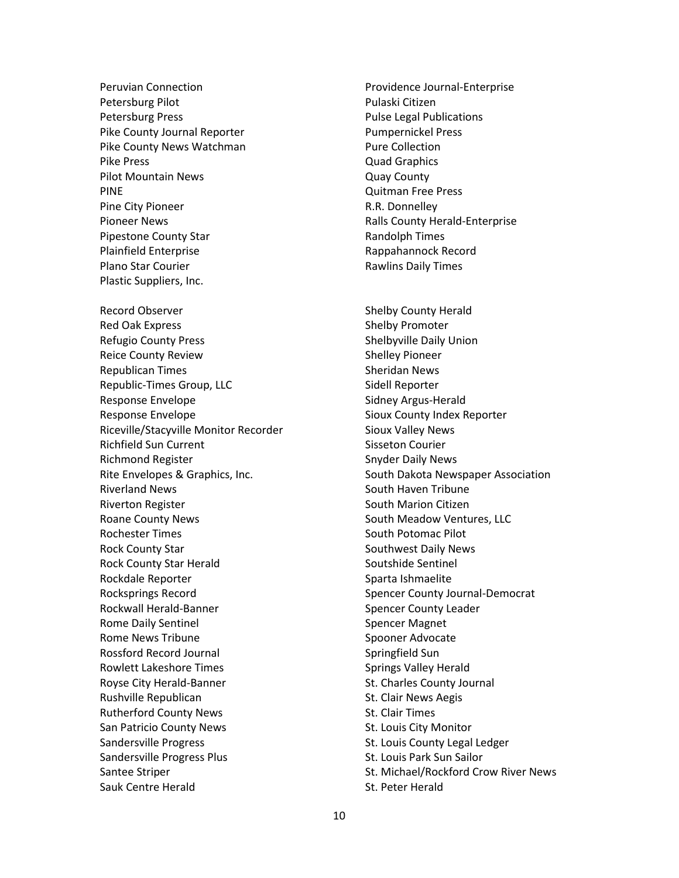Peruvian Connection Petersburg Pilot Petersburg Press Pike County Journal Reporter Pike County News Watchman Pike Press Pilot Mountain News PINE Pine City Pioneer Pioneer News Pipestone County Star Plainfield Enterprise Plano Star Courier Plastic Suppliers, Inc. Record Observer Red Oak Express Refugio County Press Reice County Review Republican Times Republic-Times Group, LLC Response Envelope Response Envelope Riceville/Stacyville Monitor Recorder Richfield Sun Current Richmond Register Rite Envelopes & Graphics, Inc. Riverland News Riverton Register Roane County News Rochester Times Rock County Star Rock County Star Herald Rockdale Reporter Rocksprings Record Rockwall Herald-Banner Rome Daily Sentinel Rome News Tribune Rossford Record Journal Rowlett Lakeshore Times Royse City Herald-Banner Rushville Republican Rutherford County News San Patricio County News Sandersville Progress Sandersville Progress Plus Santee Striper Sauk Centre Herald

Providence Journal-Enterprise Pulaski Citizen Pulse Legal Publications Pumpernickel Press Pure Collection Quad Graphics Quay County Quitman Free Press R.R. Donnelley Ralls County Herald-Enterprise Randolph Times Rappahannock Record Rawlins Daily Times

Shelby County Herald Shelby Promoter Shelbyville Daily Union Shelley Pioneer Sheridan News Sidell Reporter Sidney Argus-Herald Sioux County Index Reporter Sioux Valley News Sisseton Courier Snyder Daily News South Dakota Newspaper Association South Haven Tribune South Marion Citizen South Meadow Ventures, LLC South Potomac Pilot Southwest Daily News Soutshide Sentinel Sparta Ishmaelite Spencer County Journal-Democrat Spencer County Leader Spencer Magnet Spooner Advocate Springfield Sun Springs Valley Herald St. Charles County Journal St. Clair News Aegis St. Clair Times St. Louis City Monitor St. Louis County Legal Ledger St. Louis Park Sun Sailor St. Michael/Rockford Crow River News

St. Peter Herald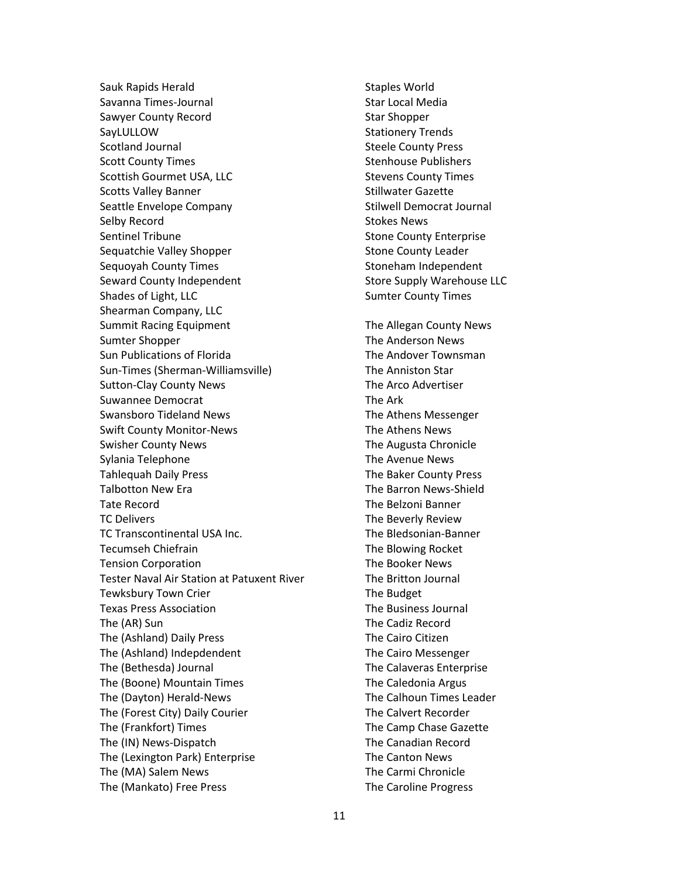Sauk Rapids Herald Savanna Times-Journal Sawyer County Record **SayLULLOW** Scotland Journal Scott County Times Scottish Gourmet USA, LLC Scotts Valley Banner Seattle Envelope Company Selby Record Sentinel Tribune Sequatchie Valley Shopper Sequoyah County Times Seward County Independent Shades of Light, LLC Shearman Company, LLC Summit Racing Equipment Sumter Shopper Sun Publications of Florida Sun-Times (Sherman-Williamsville) Sutton-Clay County News Suwannee Democrat Swansboro Tideland News Swift County Monitor-News Swisher County News Sylania Telephone Tahlequah Daily Press Talbotton New Era Tate Record TC Delivers TC Transcontinental USA Inc. Tecumseh Chiefrain Tension Corporation Tester Naval Air Station at Patuxent River Tewksbury Town Crier Texas Press Association The (AR) Sun The (Ashland) Daily Press The (Ashland) Indepdendent The (Bethesda) Journal The (Boone) Mountain Times The (Dayton) Herald-News The (Forest City) Daily Courier The (Frankfort) Times The (IN) News-Dispatch The (Lexington Park) Enterprise The (MA) Salem News The (Mankato) Free Press

Staples World Star Local Media Star Shopper Stationery Trends Steele County Press Stenhouse Publishers Stevens County Times Stillwater Gazette Stilwell Democrat Journal Stokes News Stone County Enterprise Stone County Leader Stoneham Independent Store Supply Warehouse LLC Sumter County Times The Allegan County News The Anderson News The Andover Townsman The Anniston Star The Arco Advertiser The Ark The Athens Messenger The Athens News The Augusta Chronicle The Avenue News The Baker County Press The Barron News-Shield The Belzoni Banner The Beverly Review The Bledsonian-Banner The Blowing Rocket The Booker News The Britton Journal The Budget The Business Journal The Cadiz Record The Cairo Citizen The Cairo Messenger The Calaveras Enterprise The Caledonia Argus The Calhoun Times Leader The Calvert Recorder The Camp Chase Gazette The Canadian Record The Canton News The Carmi Chronicle The Caroline Progress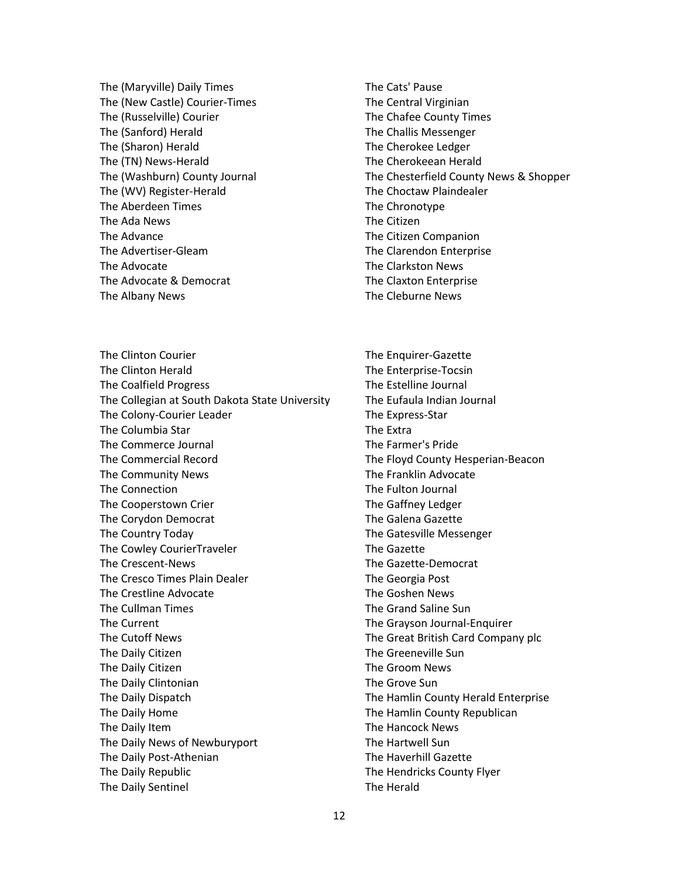The (Maryville) Daily Times The (New Castle) Courier-Times The (Russelville) Courier The (Sanford) Herald The (Sharon) Herald The (TN) News-Herald The (Washburn) County Journal The (WV) Register-Herald The Aberdeen Times The Ada News The Advance The Advertiser-Gleam The Advocate The Advocate & Democrat The Albany News

The Clinton Courier The Clinton Herald The Coalfield Progress The Collegian at South Dakota State University The Colony-Courier Leader The Columbia Star The Commerce Journal The Commercial Record The Community News The Connection The Cooperstown Crier The Corydon Democrat The Country Today The Cowley CourierTraveler The Crescent-News The Cresco Times Plain Dealer The Crestline Advocate The Cullman Times The Current The Cutoff News The Daily Citizen The Daily Citizen The Daily Clintonian The Daily Dispatch The Daily Home The Daily Item The Daily News of Newburyport The Daily Post-Athenian The Daily Republic The Daily Sentinel

- The Cats' Pause The Central Virginian The Chafee County Times The Challis Messenger The Cherokee Ledger The Cherokeean Herald The Chesterfield County News & Shopper The Choctaw Plaindealer The Chronotype The Citizen The Citizen Companion The Clarendon Enterprise The Clarkston News The Claxton Enterprise The Cleburne News
- The Enquirer-Gazette The Enterprise-Tocsin The Estelline Journal The Eufaula Indian Journal The Express-Star The Extra The Farmer's Pride The Floyd County Hesperian-Beacon The Franklin Advocate The Fulton Journal The Gaffney Ledger The Galena Gazette The Gatesville Messenger The Gazette The Gazette-Democrat The Georgia Post The Goshen News The Grand Saline Sun The Grayson Journal-Enquirer The Great British Card Company plc The Greeneville Sun The Groom News The Grove Sun The Hamlin County Herald Enterprise The Hamlin County Republican The Hancock News The Hartwell Sun The Haverhill Gazette The Hendricks County Flyer The Herald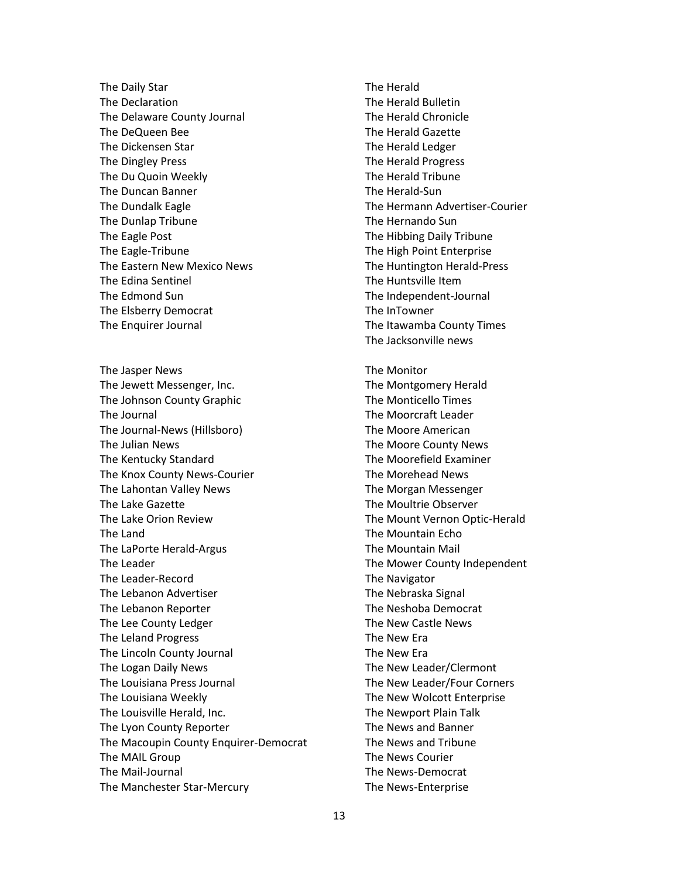The Daily Star The Declaration The Delaware County Journal The DeQueen Bee The Dickensen Star The Dingley Press The Du Quoin Weekly The Duncan Banner The Dundalk Eagle The Dunlap Tribune The Eagle Post The Eagle-Tribune The Eastern New Mexico News The Edina Sentinel The Edmond Sun The Elsberry Democrat The Enquirer Journal

The Jasper News The Jewett Messenger, Inc. The Johnson County Graphic The Journal The Journal-News (Hillsboro) The Julian News The Kentucky Standard The Knox County News-Courier The Lahontan Valley News The Lake Gazette The Lake Orion Review The Land The LaPorte Herald-Argus The Leader The Leader-Record The Lebanon Advertiser The Lebanon Reporter The Lee County Ledger The Leland Progress The Lincoln County Journal The Logan Daily News The Louisiana Press Journal The Louisiana Weekly The Louisville Herald, Inc. The Lyon County Reporter The Macoupin County Enquirer-Democrat The MAIL Group The Mail-Journal The Manchester Star-Mercury

The Herald The Herald Bulletin The Herald Chronicle The Herald Gazette The Herald Ledger The Herald Progress The Herald Tribune The Herald-Sun The Hermann Advertiser-Courier The Hernando Sun The Hibbing Daily Tribune The High Point Enterprise The Huntington Herald-Press The Huntsville Item The Independent-Journal The InTowner The Itawamba County Times The Jacksonville news

The Monitor The Montgomery Herald The Monticello Times The Moorcraft Leader The Moore American The Moore County News The Moorefield Examiner The Morehead News The Morgan Messenger The Moultrie Observer The Mount Vernon Optic-Herald The Mountain Echo The Mountain Mail The Mower County Independent The Navigator The Nebraska Signal The Neshoba Democrat The New Castle News The New Era The New Era The New Leader/Clermont The New Leader/Four Corners The New Wolcott Enterprise The Newport Plain Talk The News and Banner The News and Tribune The News Courier The News-Democrat The News-Enterprise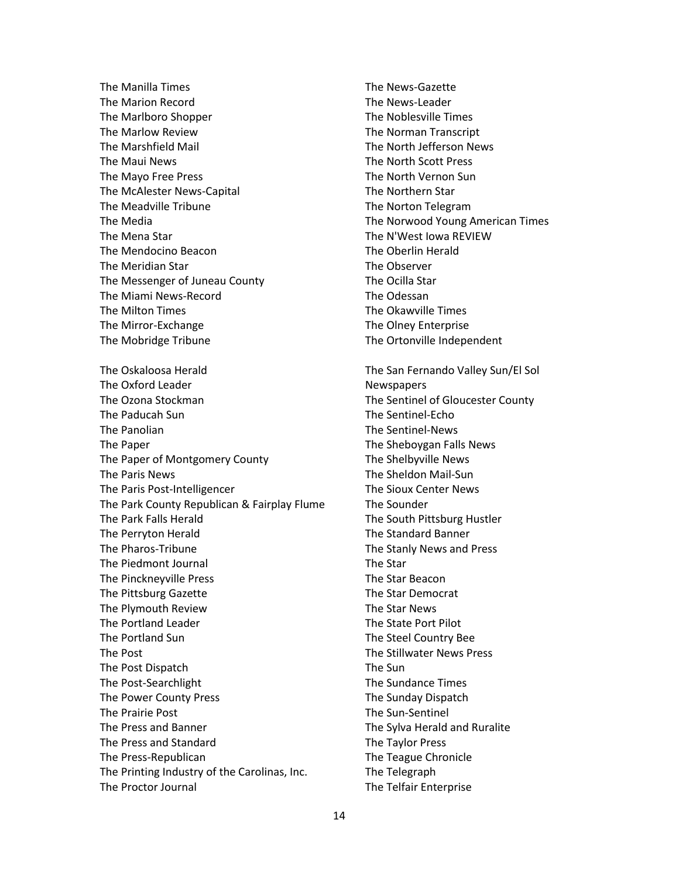The Manilla Times The Marion Record The Marlboro Shopper The Marlow Review The Marshfield Mail The Maui News The Mayo Free Press The McAlester News-Capital The Meadville Tribune The Media The Mena Star The Mendocino Beacon The Meridian Star The Messenger of Juneau County The Miami News-Record The Milton Times The Mirror-Exchange The Mobridge Tribune The Oskaloosa Herald The Oxford Leader The Ozona Stockman The Paducah Sun The Panolian The Paper The Paper of Montgomery County The Paris News The Paris Post-Intelligencer The Park County Republican & Fairplay Flume The Park Falls Herald The Perryton Herald The Pharos-Tribune The Piedmont Journal The Pinckneyville Press The Pittsburg Gazette The Plymouth Review The Portland Leader The Portland Sun The Post The Post Dispatch The Post-Searchlight The Power County Press The Prairie Post The Press and Banner The Press and Standard The Press-Republican The Printing Industry of the Carolinas, Inc. The Proctor Journal

The News-Gazette The News-Leader The Noblesville Times The Norman Transcript The North Jefferson News The North Scott Press The North Vernon Sun The Northern Star The Norton Telegram The Norwood Young American Times The N'West Iowa REVIEW The Oberlin Herald The Observer The Ocilla Star The Odessan The Okawville Times The Olney Enterprise The Ortonville Independent

The San Fernando Valley Sun/El Sol Newspapers The Sentinel of Gloucester County The Sentinel-Echo The Sentinel-News The Sheboygan Falls News The Shelbyville News The Sheldon Mail-Sun The Sioux Center News The Sounder The South Pittsburg Hustler The Standard Banner The Stanly News and Press The Star The Star Beacon The Star Democrat The Star News The State Port Pilot The Steel Country Bee The Stillwater News Press The Sun The Sundance Times The Sunday Dispatch The Sun-Sentinel The Sylva Herald and Ruralite The Taylor Press The Teague Chronicle The Telegraph The Telfair Enterprise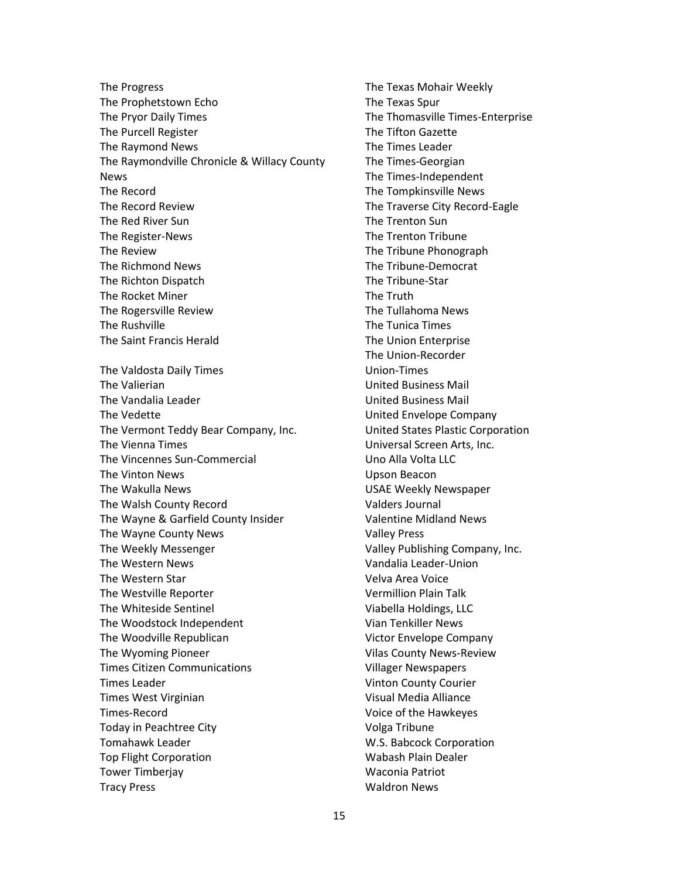The Progress The Prophetstown Echo The Pryor Daily Times The Purcell Register The Raymond News The Raymondville Chronicle & Willacy County News The Record The Record Review The Red River Sun The Register-News The Review The Richmond News The Richton Dispatch The Rocket Miner The Rogersville Review The Rushville The Saint Francis Herald The Valdosta Daily Times The Valierian The Vandalia Leader The Vedette The Vermont Teddy Bear Company, Inc. The Vienna Times The Vincennes Sun-Commercial The Vinton News The Wakulla News The Walsh County Record The Wayne & Garfield County Insider The Wayne County News The Weekly Messenger The Western News The Western Star The Westville Reporter The Whiteside Sentinel The Woodstock Independent The Woodville Republican The Wyoming Pioneer Times Citizen Communications Times Leader Times West Virginian Times-Record Today in Peachtree City Tomahawk Leader Top Flight Corporation Tower Timberjay Tracy Press

The Texas Mohair Weekly The Texas Spur The Thomasville Times-Enterprise The Tifton Gazette The Times Leader The Times-Georgian The Times-Independent The Tompkinsville News The Traverse City Record-Eagle The Trenton Sun The Trenton Tribune The Tribune Phonograph The Tribune-Democrat The Tribune-Star The Truth The Tullahoma News The Tunica Times The Union Enterprise The Union-Recorder Union-Times United Business Mail United Business Mail United Envelope Company United States Plastic Corporation Universal Screen Arts, Inc. Uno Alla Volta LLC Upson Beacon USAE Weekly Newspaper Valders Journal Valentine Midland News Valley Press Valley Publishing Company, Inc. Vandalia Leader-Union Velva Area Voice Vermillion Plain Talk Viabella Holdings, LLC Vian Tenkiller News Victor Envelope Company Vilas County News-Review Villager Newspapers Vinton County Courier Visual Media Alliance Voice of the Hawkeyes Volga Tribune W.S. Babcock Corporation Wabash Plain Dealer Waconia Patriot Waldron News